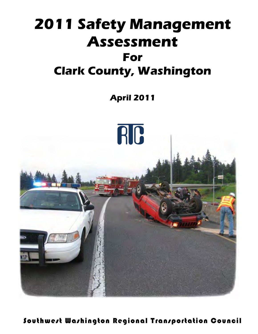# **2011 Safety Management Assessment For Clark County, Washington**

**April 2011**



Southwest Washington Regional Transportation Council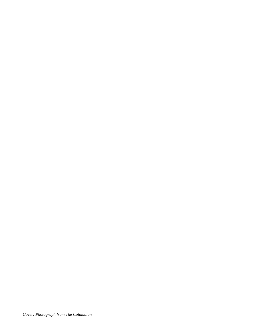*Cover: Photograph from The Columbian*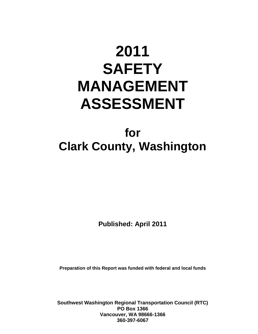# **2011 SAFETY MANAGEMENT ASSESSMENT**

# **for Clark County, Washington**

**Published: April 2011** 

**Preparation of this Report was funded with federal and local funds**

**Southwest Washington Regional Transportation Council (RTC) PO Box 1366 Vancouver, WA 98666-1366 360-397-6067**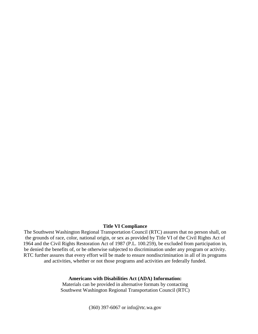#### **Title VI Compliance**

The Southwest Washington Regional Transportation Council (RTC) assures that no person shall, on the grounds of race, color, national origin, or sex as provided by Title VI of the Civil Rights Act of 1964 and the Civil Rights Restoration Act of 1987 (P.L. 100.259), be excluded from participation in, be denied the benefits of, or be otherwise subjected to discrimination under any program or activity. RTC further assures that every effort will be made to ensure nondiscrimination in all of its programs and activities, whether or not those programs and activities are federally funded.

#### **Americans with Disabilities Act (ADA) Information:**

Materials can be provided in alternative formats by contacting Southwest Washington Regional Transportation Council (RTC)

(360) 397-6067 or info@rtc.wa.gov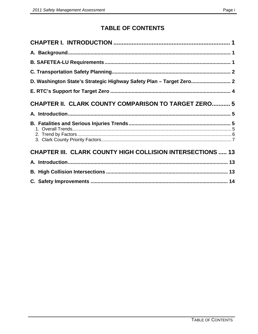# **TABLE OF CONTENTS**

| D. Washington State's Strategic Highway Safety Plan - Target Zero 2 |  |
|---------------------------------------------------------------------|--|
|                                                                     |  |
| <b>CHAPTER II. CLARK COUNTY COMPARISON TO TARGET ZERO 5</b>         |  |
|                                                                     |  |
|                                                                     |  |
| <b>CHAPTER III. CLARK COUNTY HIGH COLLISION INTERSECTIONS  13</b>   |  |
|                                                                     |  |
|                                                                     |  |
|                                                                     |  |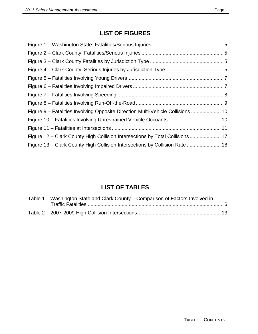# **LIST OF FIGURES**

| Figure 9 – Fatalities Involving Opposite Direction Multi-Vehicle Collisions  10 |  |
|---------------------------------------------------------------------------------|--|
|                                                                                 |  |
|                                                                                 |  |
| Figure 12 – Clark County High Collision Intersections by Total Collisions  17   |  |
| Figure 13 – Clark County High Collision Intersections by Collision Rate  18     |  |

# **LIST OF TABLES**

| Table 1 – Washington State and Clark County – Comparison of Factors Involved in |  |
|---------------------------------------------------------------------------------|--|
|                                                                                 |  |
|                                                                                 |  |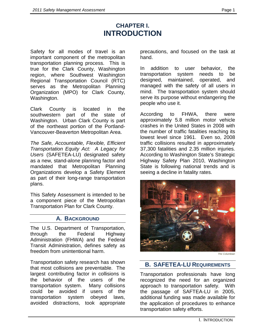# **CHAPTER I. INTRODUCTION**

Safety for all modes of travel is an important component of the metropolitan transportation planning process. This is true for the Clark County, Washington region, where Southwest Washington Regional Transportation Council (RTC) serves as the Metropolitan Planning Organization (MPO) for Clark County, Washington.

Clark County is located in the southwestern part of the state of Washington. Urban Clark County is part of the northeast portion of the Portland-Vancouver-Beaverton Metropolitan Area.

*The Safe, Accountable, Flexible, Efficient Transportation Equity Act: A Legacy for Users* (SAFETEA-LU) designated safety as a new, stand-alone planning factor and mandated that Metropolitan Planning Organizations develop a Safety Element as part of their long-range transportation plans.

This Safety Assessment is intended to be a component piece of the Metropolitan Transportation Plan for Clark County.

#### **A. BACKGROUND**

The U.S. Department of Transportation, through the Federal Highway Administration (FHWA) and the Federal Transit Administration, defines safety as freedom from unintentional harm.

Transportation safety research has shown that most collisions are preventable. The largest contributing factor in collisions is the behavior of the users of the transportation system. Many collisions could be avoided if users of the transportation system obeyed laws, avoided distractions, took appropriate

precautions, and focused on the task at hand.

In addition to user behavior, the transportation system needs to be designed, maintained, operated, and managed with the safety of all users in mind. The transportation system should serve its purpose without endangering the people who use it.

According to FHWA, there were approximately 5.8 million motor vehicle crashes in the United States in 2008 with the number of traffic fatalities reaching its lowest level since 1961. Even so, 2008 traffic collisions resulted in approximately 37,300 fatalities and 2.35 million injuries. According to Washington State's Strategic Highway Safety Plan 2010, Washington State is following national trends and is seeing a decline in fatality rates.



*The Columbian*

### **B. SAFETEA-LU REQUIREMENTS**

Transportation professionals have long recognized the need for an organized approach to transportation safety. With the passage of SAFTEA-LU in 2005, additional funding was made available for the application of procedures to enhance transportation safety efforts.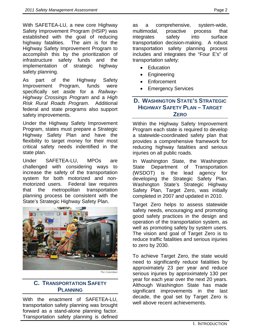With SAFETEA-LU, a new core Highway Safety Improvement Program (HSIP) was established with the goal of reducing highway fatalities. The aim is for the Highway Safety Improvement Program to accomplish this by the prioritization of infrastructure safety funds and the implementation of strategic highway safety planning.

As part of the Highway Safety Improvement Program, funds were specifically set aside for a *Railway-Highway Crossings Program* and a *High Risk Rural Roads Program*. Additional federal and state programs also support safety improvements.

Under the Highway Safety Improvement Program, states must prepare a Strategic Highway Safety Plan and have the flexibility to target money for their most critical safety needs indentified in the state plan.

Under SAFETEA-LU, MPOs are challenged with considering ways to increase the safety of the transportation system for both motorized and nonmotorized users. Federal law requires that the metropolitan transportation planning process be consistent with the State's Strategic Highway Safety Plan.



*The Columbian*

# **C. TRANSPORTATION SAFETY PLANNING**

With the enactment of SAFETEA-LU, transportation safety planning was brought forward as a stand-alone planning factor. Transportation safety planning is defined as a comprehensive, system-wide, multimodal, proactive process that integrates safety into surface transportation decision-making. A robust transportation safety planning process includes and integrates the "Four E's" of transportation safety:

- Education
- Engineering
- **Enforcement**
- **Emergency Services**

## **D. WASHINGTON STATE'S STRATEGIC HIGHWAY SAFETY PLAN – TARGET ZERO**

Within the Highway Safety Improvement Program each state is required to develop a statewide-coordinated safety plan that provides a comprehensive framework for reducing highway fatalities and serious injuries on all public roads.

In Washington State, the Washington State Department of Transportation (WSDOT) is the lead agency for developing the Strategic Safety Plan. Washington State's Strategic Highway Safety Plan, Target Zero, was initially completed in 2007 and updated in 2010.

Target Zero helps to assess statewide safety needs, encouraging and promoting good safety practices in the design and operation of the transportation system, as well as promoting safety by system users. The vision and goal of Target Zero is to reduce traffic fatalities and serious injuries to zero by 2030.

To achieve Target Zero, the state would need to significantly reduce fatalities by approximately 23 per year and reduce serious injuries by approximately 130 per year for each year over the next 20 years. Although Washington State has made significant improvements in the last decade, the goal set by Target Zero is well above recent achievements.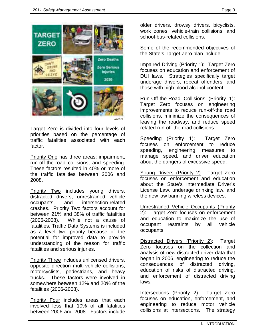

Target Zero is divided into four levels of priorities based on the percentage of traffic fatalities associated with each factor.

Priority One has three areas: impairment, run-off-the-road collisions, and speeding. These factors resulted in 40% or more of the traffic fatalities between 2006 and 2008.

Priority Two includes young drivers, distracted drivers, unrestrained vehicle occupants, and intersection-related crashes. Priority Two factors account for between 21% and 38% of traffic fatalities (2006-2008). While not a cause of fatalities, Traffic Data Systems is included as a level two priority because of the potential for improved data to provide understanding of the reason for traffic fatalities and serious injuries.

Priority Three includes unlicensed drivers, opposite direction multi-vehicle collisions, motorcyclists, pedestrians, and heavy trucks. These factors were involved in somewhere between 12% and 20% of the fatalities (2006-2008).

Priority Four includes areas that each involved less that 10% of all fatalities between 2006 and 2008. Factors include

older drivers, drowsy drivers, bicyclists, work zones, vehicle-train collisions, and school-bus-related collisions.

Some of the recommended objectives of the State's Target Zero plan include:

Impaired Driving (Priority 1): Target Zero focuses on education and enforcement of DUI laws. Strategies specifically target underage drivers, repeat offenders, and those with high blood alcohol content.

Run-Off-the-Road Collisions (Priority 1): Target Zero focuses on engineering improvements to reduce run-off-the road collisions, minimize the consequences of leaving the roadway, and reduce speed related run-off-the road collisions.

Speeding (Priority 1): Target Zero focuses on enforcement to reduce speeding, engineering measures to manage speed, and driver education about the dangers of excessive speed.

Young Drivers (Priority 2): Target Zero focuses on enforcement and education about the State's Intermediate Driver's License Law, underage drinking law, and the new law banning wireless devices.

Unrestrained Vehicle Occupants (Priority 2): Target Zero focuses on enforcement and education to maximize the use of occupant restraints by all vehicle occupants.

Distracted Drivers (Priority 2): Target Zero focuses on the collection and analysis of new distracted driver data that began in 2006, engineering to reduce the consequences of distracted driving, education of risks of distracted driving, and enforcement of distracted driving laws.

Intersections (Priority 2): Target Zero focuses on education, enforcement, and engineering to reduce motor vehicle collisions at intersections. The strategy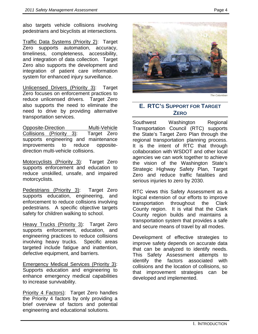also targets vehicle collisions involving pedestrians and bicyclists at intersections.

Traffic Data Systems (Priority 2): Target Zero supports automation, accuracy, timeliness, completeness, accessibility, and integration of data collection. Target Zero also supports the development and integration of patient care information system for enhanced injury surveillance.

Unlicensed Drivers (Priority 3): Target Zero focuses on enforcement practices to reduce unlicensed drivers. Target Zero also supports the need to eliminate the need to drive by providing alternative transportation services.

Opposite-Direction Multi-Vehicle Collisions (Priority 3): Target Zero supports engineering and maintenance improvements to reduce oppositedirection multi-vehicle collisions.

Motorcyclists (Priority 3): Target Zero supports enforcement and education to reduce unskilled, unsafe, and impaired motorcyclists.

Pedestrians (Priority 3): Target Zero supports education, engineering, and enforcement to reduce collisions involving pedestrians. A specific objective targets safety for children walking to school.

Heavy Trucks (Priority 3): Target Zero supports enforcement, education, and engineering practices to reduce collisions involving heavy trucks. Specific areas targeted include fatigue and inattention, defective equipment, and barriers.

Emergency Medical Services (Priority 3): Supports education and engineering to enhance emergency medical capabilities to increase survivability.

Priority 4 Factors): Target Zero handles the Priority 4 factors by only providing a brief overview of factors and potential engineering and educational solutions.



*The Columbian*

## **E. RTC'S SUPPORT FOR TARGET ZERO**

Southwest Washington Regional Transportation Council (RTC) supports the State's Target Zero Plan through the regional transportation planning process. It is the intent of RTC that through collaboration with WSDOT and other local agencies we can work together to achieve the vision of the Washington State's Strategic Highway Safety Plan, Target Zero and reduce traffic fatalities and serious injuries to zero by 2030.

RTC views this Safety Assessment as a logical extension of our efforts to improve transportation throughout the Clark County region. It is vital that the Clark County region builds and maintains a transportation system that provides a safe and secure means of travel by all modes.

Development of effective strategies to improve safety depends on accurate data that can be analyzed to identify needs. This Safety Assessment attempts to identify the factors associated with collisions and the location of collisions, so that improvement strategies can be developed and implemented.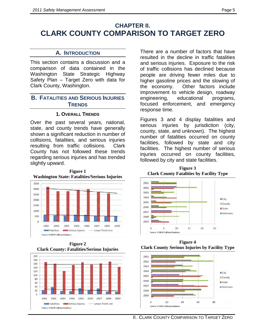# **CHAPTER II. CLARK COUNTY COMPARISON TO TARGET ZERO**

#### **A. INTRODUCTION**

This section contains a discussion and a comparison of data contained in the Washington State Strategic Highway Safety Plan – Target Zero with data for Clark County, Washington.

#### **B. FATALITIES AND SERIOUS INJURIES TRENDS**

#### **1. OVERALL TRENDS**

Over the past several years, national, state, and county trends have generally shown a significant reduction in number of collisions, fatalities, and serious injuries resulting from traffic collisions. Clark County has not followed these trends regarding serious injuries and has trended slightly upward.



**Figure 1 Washington State: Fatalities/Serious Injuries**

**Figure 2 Clark County: Fatalities/Serious Injuries**



There are a number of factors that have resulted in the decline in traffic fatalities and serious injuries. Exposure to the risk of traffic collisions has declined because people are driving fewer miles due to higher gasoline prices and the slowing of the economy. Other factors include improvement to vehicle design, roadway engineering, educational programs, focused enforcement, and emergency response time.

Figures 3 and 4 display fatalities and serious injuries by jurisdiction (city, county, state, and unknown). The highest number of fatalities occurred on county facilities, followed by state and city facilities. The highest number of serious injuries occurred on county facilities, followed by city and state facilities.

**Figure 3 Clark County Fatalities by Facility Type** 



**Figure 4 Clark County Serious Injuries by Facility Type**



II. CLARK COUNTY COMPARISON TO TARGET ZERO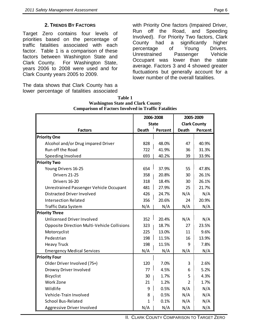Target Zero contains four levels of priorities based on the percentage of traffic fatalities associated with each factor. Table 1 is a comparison of these factors between Washington State and Clark County. For Washington State, years 2006 to 2008 were used and for Clark County years 2005 to 2009.

The data shows that Clark County has a lower percentage of fatalities associated with Priority One factors (Impaired Driver, Run off the Road, and Speeding Involved). For Priority Two factors, Clark County had a significantly higher percentage of Young Drivers. Unrestrained Passenger Vehicle Occupant was lower than the state average. Factors 3 and 4 showed greater fluctuations but generally account for a lower number of the overall fatalities.

|                                             |              | 2006-2008 |                     | 2005-2009 |
|---------------------------------------------|--------------|-----------|---------------------|-----------|
|                                             | <b>State</b> |           | <b>Clark County</b> |           |
| <b>Factors</b>                              | <b>Death</b> | Percent   | <b>Death</b>        | Percent   |
| <b>Priority One</b>                         |              |           |                     |           |
| Alcohol and/or Drug impared Driver          | 828          | 48.0%     | 47                  | 40.9%     |
| Run off the Road                            | 722          | 41.9%     | 36                  | 31.3%     |
| Speeding Involved                           | 693          | 40.2%     | 39                  | 33.9%     |
| <b>Priority Two</b>                         |              |           |                     |           |
| Young Drivers 16-25                         | 654          | 37.9%     | 55                  | 47.8%     |
| Drivers 21-25                               | 358          | 20.8%     | 30                  | 26.1%     |
| Drivers 16-20                               | 318          | 18.4%     | 30                  | 26.1%     |
| Unrestrained Passenger Vehicle Occupant     | 481          | 27.9%     | 25                  | 21.7%     |
| <b>Distracted Driver Involved</b>           | 426          | 24.7%     | N/A                 | N/A       |
| <b>Intersection Related</b>                 | 356          | 20.6%     | 24                  | 20.9%     |
| Traffic Data System                         | N/A          | N/A       | N/A                 | N/A       |
| <b>Priority Three</b>                       |              |           |                     |           |
| Unlicensed Driver Involved                  | 352          | 20.4%     | N/A                 | N/A       |
| Opposite Direction Multi-Vehicle Collisions | 323          | 18.7%     | 27                  | 23.5%     |
| Motorcyclist                                | 225          | 13.0%     | 11                  | 9.6%      |
| Pedestrian                                  | 198          | 11.5%     | 16                  | 13.9%     |
| <b>Heavy Truck</b>                          | 198          | 11.5%     | 9                   | 7.8%      |
| <b>Emergency Medical Services</b>           | N/A          | N/A       | N/A                 | N/A       |
| <b>Priority Four</b>                        |              |           |                     |           |
| Older Driver Involved (75+)                 | 120          | 7.0%      | 3                   | 2.6%      |
| Drowsy Driver Involved                      | 77           | 4.5%      | 6                   | 5.2%      |
| <b>Bicyclist</b>                            | 30           | 1.7%      | 5                   | 4.3%      |
| Work Zone                                   | 21           | 1.2%      | $\overline{2}$      | 1.7%      |
| Wildlife                                    | 9            | 0.5%      | N/A                 | N/A       |
| Vehicle-Train Involved                      | 8            | 0.5%      | N/A                 | N/A       |
| <b>School Bus-Related</b>                   | 1            | 0.1%      | N/A                 | N/A       |
| Aggressive Driver Involved                  | N/A          | N/A       | N/A                 | N/A       |

#### **Table 1 Washington State and Clark County Comparison of Factors Involved in Traffic Fatalities**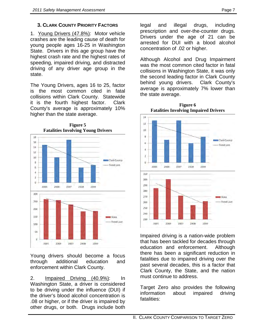# **3. CLARK COUNTY PRIORITY FACTORS**

1. Young Drivers (47.8%) : Motor vehicle crashes are the leading cause of death for young people ages 16-25 in Washington State. Drivers in this age group have the highest crash rate and the highest rates of speeding, impaired driving, and distracted driving of any driver age group in the state.

The Young Drivers, ages 16 to 25, factor is the most common cited in fatal collisions within Clark County. Statewide it is the fourth highest factor. Clark County's average is approximately 10% higher than the state average.



**Figure 5 Fatalities Involving Young Drivers** 

Young drivers should become a focus through additional education and enforcement within Clark County.

2. Impaired Driving (40.9%) : In Washington State, a driver is considered to be driving under the influence (DUI) if the driver's blood alcohol concentration is .08 or higher, or if the driver is impaired by other drugs, or both. Drugs include both

legal and illegal drugs, including prescription and over-the-counter drugs. Drivers under the age of 21 can be arrested for DUI with a blood alcohol concentration of .02 or higher.

Although Alcohol and Drug Impairment was the most common cited factor in fatal collisions in Washington State, it was only the second leading factor in Clark County behind young drivers. Clark County's average is approximately 7% lower than the state average.



**Figure 6 Fatalities Involving Impaired Drivers**

Impaired driving is a nation-wide problem that has been tackled for decades through education and enforcement. Although there has been a significant reduction in fatalities due to impaired driving over the past several decades, this is a factor that Clark County, the State, and the nation must continue to address.

Target Zero also provides the following information about impaired driving fatalities: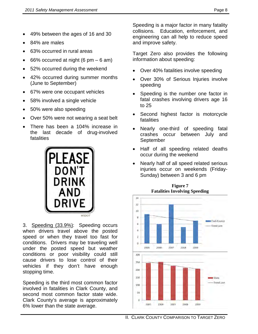- 49% between the ages of 16 and 30
- 84% are males
- 63% occurred in rural areas
- 66% occurred at night  $(6 \text{ pm} 6 \text{ am})$
- 52% occurred during the weekend
- 42% occurred during summer months (June to September)
- 67% were one occupant vehicles
- 58% involved a single vehicle
- 50% were also speeding
- Over 50% were not wearing a seat belt
- There has been a 104% increase in the last decade of drug-involved fatalities



3. Speeding (33.9%): Speeding occurs when drivers travel above the posted speed or when they travel too fast for conditions. Drivers may be traveling well under the posted speed but weather conditions or poor visibility could still cause drivers to lose control of their vehicles if they don't have enough stopping time.

Speeding is the third most common factor involved in fatalities in Clark County, and second most common factor state wide. Clark County's average is approximately 6% lower than the state average.

Speeding is a major factor in many fatality collisions. Education, enforcement, and engineering can all help to reduce speed and improve safety.

Target Zero also provides the following information about speeding:

- Over 40% fatalities involve speeding
- Over 30% of Serious Injuries involve speeding
- Speeding is the number one factor in fatal crashes involving drivers age 16 to 25
- Second highest factor is motorcycle fatalities
- Nearly one-third of speeding fatal crashes occur between July and September
- Half of all speeding related deaths occur during the weekend
- Nearly half of all speed related serious injuries occur on weekends (Friday-Sunday) between 3 and 6 pm



**Figure 7 Fatalities Involving Speeding**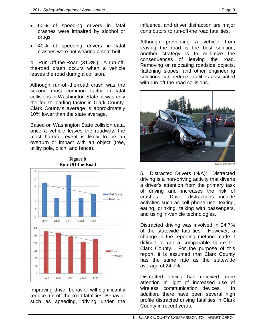- 60% of speeding drivers in fatal crashes were impaired by alcohol or drugs
- 40% of speeding drivers in fatal crashes were not wearing a seat belt

4. <u>Run-Off-the-Road (31.3%)</u>: A run-offthe-road crash occurs when a vehicle leaves the road during a collision.

Although run-off-the-road crash was the second most common factor in fatal collisions in Washington State, it was only the fourth leading factor in Clark County. Clark County's average is approximately 10% lower than the state average.

Based on Washington State collision data, once a vehicle leaves the roadway, the most harmful event is likely to be an overturn or impact with an object (tree, utility pole, ditch, and fence).



**Figure 8 Run-Off-the-Road** 

Improving driver behavior will significantly reduce run-off-the-road fatalities. Behavior such as speeding, driving under the

influence, and driver distraction are major contributors to run-off-the road fatalities.

Although preventing a vehicle from leaving the road is the best solution, another strategy is to minimize the consequences of leaving the road. Removing or relocating roadside objects, flattening slopes, and other engineering solutions can reduce fatalities associated with run-off-the-road collisions.



*City of Vancouver*

5. Distracted Drivers (N/A): Distracted driving is a non-driving activity that diverts a driver's attention from the primary task of driving and increases the risk of crashes. Driver distractions include activities such as cell phone use, texting, eating, drinking, talking with passengers, and using in-vehicle technologies.

Distracted driving was involved in 24.7% of the statewide fatalities. However, a change in the reporting method made it difficult to get a comparable figure for Clark County. For the purpose of this report, it is assumed that Clark County has the same rate as the statewide average of 24.7%.

Distracted driving has received more attention in light of increased use of wireless communication devices. In addition, there have been several high profile distracted driving fatalities in Clark County in recent years.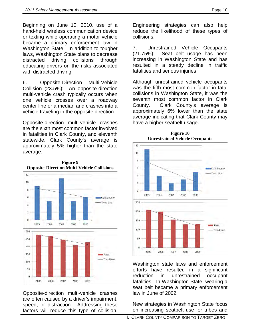Beginning on June 10, 2010, use of a hand-held wireless communication device or texting while operating a motor vehicle became a primary enforcement law in Washington State. In addition to tougher laws, Washington State plans to decrease distracted driving collisions through educating drivers on the risks associated with distracted driving.

6. Opposite-Direction Multi-Vehicle Collision (23.5%) : An opposite-direction multi-vehicle crash typically occurs when one vehicle crosses over a roadway center line or a median and crashes into a vehicle traveling in the opposite direction.

Opposite-direction multi-vehicle crashes are the sixth most common factor involved in fatalities in Clark County, and eleventh statewide. Clark County's average is approximately 5% higher than the state average.



Opposite-direction multi-vehicle crashes are often caused by a driver's impairment, speed, or distraction. Addressing these factors will reduce this type of collision.

Engineering strategies can also help reduce the likelihood of these types of collisions.

7. Unrestrained Vehicle Occupants  $(21.75\%)$ : Seat belt usage has been increasing in Washington State and has resulted in a steady decline in traffic fatalities and serious injuries.

Although unrestrained vehicle occupants was the fifth most common factor in fatal collisions in Washington State, it was the seventh most common factor in Clark County. Clark County's average is approximately 6% lower than the state average indicating that Clark County may have a higher seatbelt usage.



**Figure 10 Unrestrained Vehicle Occupants**

Washington state laws and enforcement efforts have resulted in a significant reduction in unrestrained occupant fatalities. In Washington State, wearing a seat belt became a primary enforcement law in June of 2002.

New strategies in Washington State focus on increasing seatbelt use for tribes and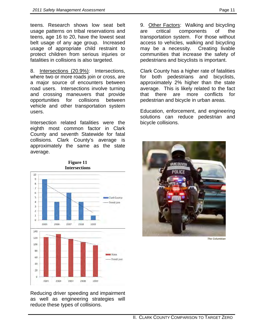teens. Research shows low seat belt usage patterns on tribal reservations and teens, age 16 to 20, have the lowest seat belt usage of any age group. Increased usage of appropriate child restraint to protect children from serious injuries or fatalities in collisions is also targeted.

8. Intersections (20.9%): Intersections, where two or more roads join or cross, are a major source of encounters between road users. Intersections involve turning and crossing maneuvers that provide opportunities for collisions between vehicle and other transportation system users.

Intersection related fatalities were the eighth most common factor in Clark County and seventh Statewide for fatal collisions. Clark County's average is approximately the same as the state average.



**Figure 11 Intersections**

Reducing driver speeding and impairment as well as engineering strategies will reduce these types of collisions.

9. Other Factors: Walking and bicycling are critical components of the transportation system. For those without access to vehicles, walking and bicycling may be a necessity. Creating livable communities that increase the safety of pedestrians and bicyclists is important.

Clark County has a higher rate of fatalities for both pedestrians and bicyclists, approximately 2% higher than the state average. This is likely related to the fact that there are more conflicts for pedestrian and bicycle in urban areas.

Education, enforcement, and engineering solutions can reduce pedestrian and bicycle collisions.



*The Columbian*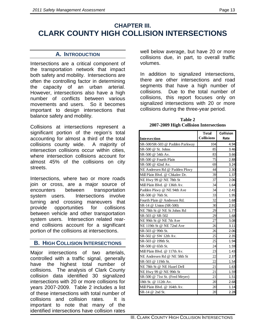# **CHAPTER III. CLARK COUNTY HIGH COLLISION INTERSECTIONS**

#### **A. INTRODUCTION**

Intersections are a critical component of the transportation network that impact both safety and mobility. Intersections are often the controlling factor in determining the capacity of an urban arterial. However, intersections also have a high number of conflicts between various movements and users. So it becomes important to design intersections that balance safety and mobility.

Collisions at intersections represent a significant portion of the region's total accounting for almost a third of the total collisions county wide. A majority of intersection collisions occur within cities, where intersection collisions account for almost 45% of the collisions on city streets.

Intersections, where two or more roads join or cross, are a major source of encounters between transportation system users. Intersections involve turning and crossing maneuvers that provide opportunities for collisions between vehicle and other transportation system users. Intersection related rearend collisions account for a significant portion of the collisions at intersections.

#### **B. HIGH COLLISION INTERSECTIONS**

Major intersections of two arterials, controlled with a traffic signal, generally have the highest total number of collisions. The analysis of Clark County collision data identified 30 signalized intersections with 20 or more collisions for years 2007-2009. Table 2 includes a list of these intersections with total number of collisions and collision rates. It is important to note that many of the identified intersections have collision rates

well below average, but have 20 or more collisions due, in part, to overall traffic volumes.

In addition to signalized intersections, there are other intersections and road segments that have a high number of collisions. Due to the total number of collisions, this report focuses only on signalized intersections with 20 or more collisions during the three-year period*.* 

| Table 2                                |
|----------------------------------------|
| 2007-2009 High Collision Intersections |

|                                | Total             | Collision |
|--------------------------------|-------------------|-----------|
| Intersection                   | <b>Collisions</b> | Rate      |
| SR-500/SR-503 @ Padden Parkway | 104               | 4.94      |
| SR-500 @ St. Johns             | 85                | 3.46      |
| SR-500 @ 54th Av.              | 83                | 3.66      |
| SR-500 @ Fourth Plain          | 75                | 2.88      |
| SR-500 @ 42nd Av.              | 69                | 3.24      |
| NE Andresen Rd @ Padden Pkwy   | 44                | 2.30      |
| Mill Plain Blvd. @ Chkalov Dr. | 39                | 1.37      |
| NE Hwy 99 @ NE 78th St         | 37                | 2.06      |
| Mill Plain Blvd. @ 136th Av.   | 34                | 1.64      |
| Padden Pkwy @ NE 94th Ave      | 34                | 2.41      |
| SR-500 @ 76th St.              | 33                | 1.95      |
| Fourth Plain @ Andresen Rd.    | 32                | 1.68      |
| SR-14 @ Union (SR-500)         | 30                | 2.91      |
| NE 78th St @ NE St Johns Rd    | 29                | 1.77      |
| SR-503 @ SR-502                | 29                | 1.68      |
| NE 99th St @ NE 7th Ave        | 27                | 3.08      |
| NE 119th St @ NE 72nd Ave      | 26                | 3.11      |
| SR-503 @ 99th St.              | 26                | 2.06      |
| SR-502 @ SW 12th Av.           | 25                | 2.35      |
| SR-503 @ 199th St.             | 25                | 1.94      |
| SR-500 @ 65th St.              | 24                | 1.59      |
| Mill Plain Blvd. @ 117th Av.   | 23                | 1.43      |
| NE Andresen Rd @ NE 58th St    | 22                | 2.37      |
| SR-503 @ 119th St.             | 22                | 1.54      |
| NE 78th St @ NE Hazel Dell     | 21                | 1.63      |
| NE Hwy 99 @ NE 99th St         | 21                | 1.59      |
| SR-500 @ 71st St. (Fred Meyer) | 21                | 1.51      |
| 18th St. @ 112th Av.           | 20                | 2.68      |
| Mill Plain Blvd. @ 164th Av.   | 20                | 1.14      |
| SR-14 @ 2nd St.                | 20                | 2.28      |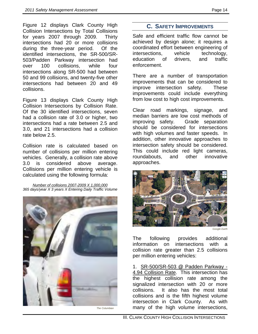Figure 12 displays Clark County High Collision Intersections by Total Collisions for years 2007 through 2009. Thirty intersections had 20 or more collisions during the three-year period. Of the identified intersections, the SR-500/SR-503/Padden Parkway intersection had over 100 collisions, while four intersections along SR-500 had between 50 and 99 collisions, and twenty-five other intersections had between 20 and 49 collisions.

Figure 13 displays Clark County High Collision Intersections by Collision Rate. Of the 30 identified intersections, seven had a collision rate of 3.0 or higher, two intersections had a rate between 2.5 and 3.0, and 21 intersections had a collision rate below 2.5.

Collision rate is calculated based on number of collisions per million entering vehicles. Generally, a collision rate above 3.0 is considered above average. Collisions per million entering vehicle is calculated using the following formula:

*365 days/year X 3 years X Entering Daily Traffic Volume Number of collisions 2007-2009 X 1,000,000*



#### **C. SAFETY IMPROVEMENTS**

Safe and efficient traffic flow cannot be achieved by design alone; it requires a coordinated effort between engineering of intersections, vehicle technology, education of drivers, and traffic enforcement.

There are a number of transportation improvements that can be considered to improve intersection safety. These improvements could include everything from low cost to high cost improvements.

Clear road markings, signage, and median barriers are low cost methods of improving safety. Grade separation should be considered for intersections with high volumes and faster speeds. In addition, other innovative approaches to intersection safety should be considered. This could include red light cameras, roundabouts, and other innovative approaches.



*Google Earth*

The following provides additional information on intersections with a collision rate greater than 2.5 collisions per million entering vehicles:

1. SR-500/SR-503 @ Padden Parkway - 4.94 Collision Rate. This intersection has the highest collision rate among the signalized intersection with 20 or more collisions. It also has the most total collisions and is the fifth highest volume intersection in Clark County. As with many of the high volume intersections,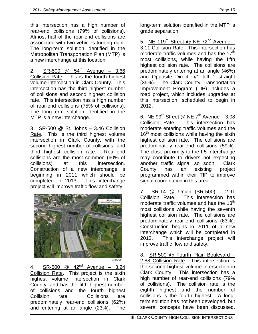this intersection has a high number of rear-end collisions (79% of collisions). Almost half of the rear-end collisions are associated with two vehicles turning right. The long-term solution identified in the Metropolitan Transportation Plan (MTP) is a new interchange at this location.

2. SR-500  $@$  54<sup>th</sup> Avenue – 3.66 Collision Rate. This is the fourth highest volume intersection in Clark County. This intersection has the third highest number of collisions and second highest collision rate. This intersection has a high number of rear-end collisions (75% of collisions). The long-term solution identified in the MTP is a new interchange.

3. SR-500 @ St. Johns – 3.46 Collision Rate. This is the third highest volume intersection in Clark County, with the second highest number of collisions, and third highest collision rate. Rear-end collisions are the most common (60% of collisions) at this intersection. Construction of a new interchange is beginning in 2011 which should be completed in 2013. This interchange project will improve traffic flow and safety.



*WSDOT*

4. SR-500  $\textcircled{a}$  42<sup>nd</sup> Avenue – 3.24 Collision Rate. This project is the sixth highest volume intersection in Clark County, and has the fifth highest number of collisions and the fourth highest Collision rate. Collisions are predominately rear-end collisions (62%) and entering at an angle (23%). The

long-term solution identified in the MTP is grade separation.

5. <u>NE 119<sup>th</sup> Street @ NE 72<sup>nd</sup> Avenue –</u> 3.11 Collision Rate . This intersection has moderate traffic volumes and has the 17<sup>th</sup> most collisions, while having the fifth highest collision rate. The collisions are predominately entering at an angle (46%) and Opposite Direction/1 left 1 straight (35%). The Clark County Transportation Improvement Program (TIP) includes a road project, which includes upgrades at this intersection, scheduled to begin in 2012.

6. <u>NE 99<sup>th</sup> Street @ NE 7<sup>th</sup> Avenue – 3.08</u> Collision Rate . This intersection has moderate entering traffic volumes and the  $16<sup>th</sup>$  most collisions while having the sixth highest collision rate. The collisions are predominately rear-end collisions (59%). The close proximity to the I-5 Interchange may contribute to drivers not expecting another traffic signal so soon. Clark County has an existing project programmed within their TIP to improve signal coordination in this area.

7. SR-14 @ Union (SR-500) – 2.91 Collision Rate . This intersection has moderate traffic volumes and has the  $13<sup>th</sup>$ most collisions while having the seventh highest collision rate. The collisions are predominately rear-end collisions (63%). Construction begins in 2011 of a new interchange which will be completed in 2012. This interchange project will improve traffic flow and safety.

8. SR-500 @ Fourth Plain Boulevard -2.88 Collision Rate. This intersection is the second highest volume intersection in Clark County. This intersection has a high number of rear-end collisions (79% of collisions). The collision rate is the eighth highest and the number of collisions is the fourth highest. A longterm solution has not been developed, but several concepts have been discussed.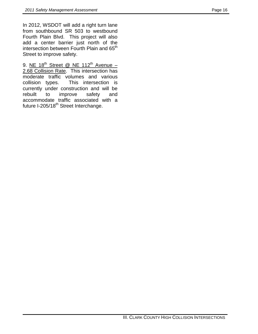In 2012, WSDOT will add a right turn lane from southbound SR 503 to westbound Fourth Plain Blvd. This project will also add a center barrier just north of the intersection between Fourth Plain and 65<sup>th</sup> Street to improve safety.

9. NE  $18^{th}$  Street @ NE  $112^{th}$  Avenue – 2.68 Collision Rate. This intersection has moderate traffic volumes and various collision types. This intersection is currently under construction and will be rebuilt to improve safety and accommodate traffic associated with a future I-205/18<sup>th</sup> Street Interchange.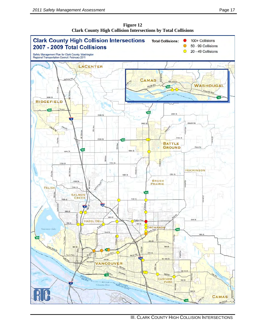

**Figure 12 Clark County High Collision Intersections by Total Collisions**